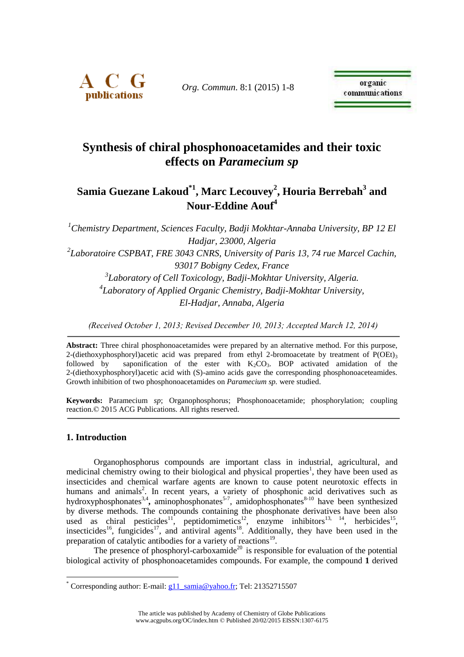

*Org. Commun*. 8:1 (2015) 1-8

# **Synthesis of chiral phosphonoacetamides and their toxic effects on** *Paramecium sp*

# **Samia Guezane Lakoud\*1 , Marc Lecouvey<sup>2</sup> , Houria Berrebah<sup>3</sup> and Nour-Eddine Aouf<sup>4</sup>**

*<sup>1</sup>Chemistry Department, Sciences Faculty, Badji Mokhtar-Annaba University, BP 12 El Hadjar, 23000, Algeria 2 Laboratoire CSPBAT, FRE 3043 CNRS, University of Paris 13, 74 rue Marcel Cachin, 93017 Bobigny Cedex, France 3 Laboratory of Cell Toxicology, Badji-Mokhtar University, Algeria. 4 Laboratory of Applied Organic Chemistry, Badji-Mokhtar University, El-Hadjar, Annaba, Algeria*

*(Received October 1, 2013; Revised December 10, 2013; Accepted March 12, 2014)*

**Abstract:** Three chiral phosphonoacetamides were prepared by an alternative method. For this purpose, 2-(diethoxyphosphoryl)acetic acid was prepared from ethyl 2-bromoacetate by treatment of  $P(OEt)$ <sub>3</sub> followed by saponification of the ester with  $K_2CO_3$ . BOP activated amidation of the 2-(diethoxyphosphoryl)acetic acid with (S)-amino acids gave the corresponding phosphonoaceteamides. Growth inhibition of two phosphonoacetamides on *Paramecium sp.* were studied.

**Keywords:** Paramecium *sp*; Organophosphorus; Phosphonoacetamide; phosphorylation; coupling reaction.© 2015 ACG Publications. All rights reserved.

# **1. Introduction**

1

Organophosphorus compounds are important class in industrial, agricultural, and medicinal chemistry owing to their biological and physical properties<sup>1</sup>, they have been used as insecticides and chemical warfare agents are known to cause potent neurotoxic effects in humans and animals<sup>2</sup>. In recent years, a variety of phosphonic acid derivatives such as hydroxyphosphonates<sup>3,4</sup>, aminophosphonates<sup>5-7</sup>, amidophosphonates<sup>8-10</sup> have been synthesized by diverse methods. The compounds containing the phosphonate derivatives have been also used as chiral pesticides<sup>11</sup>, peptidomimetics<sup>12</sup>, enzyme inhibitors<sup>13, 14</sup>, herbicides<sup>15</sup>, insecticides<sup>16</sup>, fungicides<sup>17</sup>, and antiviral agents<sup>18</sup>. Additionally, they have been used in the preparation of catalytic antibodies for a variety of reactions<sup>19</sup>.

The presence of phosphoryl-carboxamide<sup>20</sup> is responsible for evaluation of the potential biological activity of phosphonoacetamides compounds. For example, the compound **1** derived

Corresponding author: E-mail: [g11\\_samia@yahoo.fr;](mailto:g11_samia@yahoo.fr) Tel: 21352715507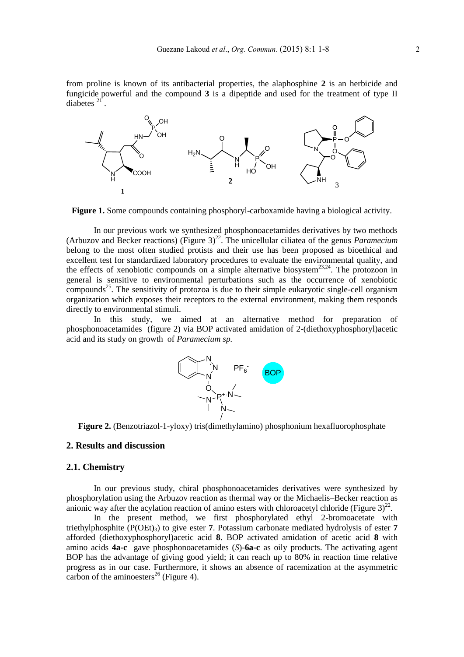from proline is known of its antibacterial properties, the alaphosphine **2** is an herbicide and fungicide powerful and the compound **3** is a dipeptide and used for the treatment of type II diabetes<sup>21</sup> .



**Figure 1.** Some compounds containing phosphoryl-carboxamide having a biological activity.

In our previous work we synthesized phosphonoacetamides derivatives by two methods (Arbuzov and Becker reactions) (Figure 3) 22 . The unicellular ciliatea of the genus *Paramecium* belong to the most often studied protists and their use has been proposed as bioethical and excellent test for standardized laboratory procedures to evaluate the environmental quality, and the effects of xenobiotic compounds on a simple alternative biosystem<sup>23,24</sup>. The protozoon in general is sensitive to environmental perturbations such as the occurrence of xenobiotic compounds<sup>25</sup>. The sensitivity of protozoa is due to their simple eukaryotic single-cell organism organization which exposes their receptors to the external environment, making them responds directly to environmental stimuli.

In this study, we aimed at an alternative method for preparation of phosphonoacetamides (figure 2) via BOP activated amidation of 2-(diethoxyphosphoryl)acetic acid and its study on growth of *Paramecium sp.*



**Figure 2.** (Benzotriazol-1-yloxy) tris(dimethylamino) phosphonium hexafluorophosphate

### **2. Results and discussion**

#### **2.1. Chemistry**

In our previous study, chiral phosphonoacetamides derivatives were synthesized by phosphorylation using the Arbuzov reaction as thermal way or the Michaelis–Becker reaction as anionic way after the acylation reaction of amino esters with chloroacetyl chloride (Figure  $3)^{22}$ .

In the present method, we first phosphorylated ethyl 2-bromoacetate with triethylphosphite  $(P(OEt)_{3})$  to give ester 7. Potassium carbonate mediated hydrolysis of ester 7 afforded (diethoxyphosphoryl)acetic acid **8**. BOP activated amidation of acetic acid **8** with amino acids **4a-c** gave phosphonoacetamides (*S*)-**6a-c** as oily products. The activating agent BOP has the advantage of giving good yield; it can reach up to 80% in reaction time relative progress as in our case. Furthermore, it shows an absence of racemization at the asymmetric carbon of the aminoesters<sup>26</sup> (Figure 4).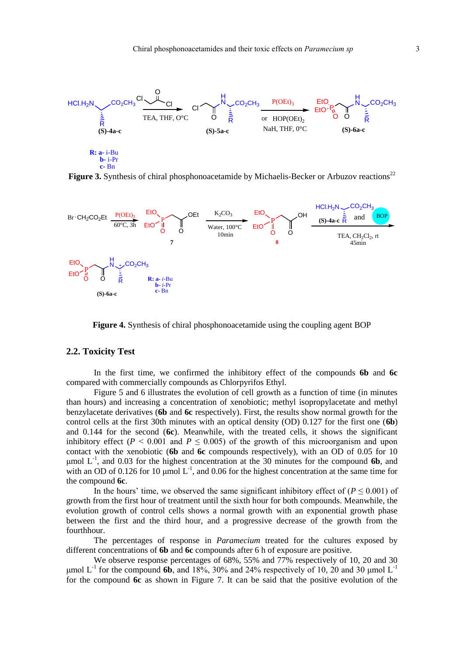

Figure 3. Synthesis of chiral phosphonoacetamide by Michaelis-Becker or Arbuzov reactions<sup>22</sup>



**Figure 4.** Synthesis of chiral phosphonoacetamide using the coupling agent BOP

## **2.2. Toxicity Test**

In the first time, we confirmed the inhibitory effect of the compounds **6b** and **6c** compared with commercially compounds as Chlorpyrifos Ethyl.

Figure 5 and 6 illustrates the evolution of cell growth as a function of time (in minutes than hours) and increasing a concentration of xenobiotic; methyl isopropylacetate and methyl benzylacetate derivatives (**6b** and **6c** respectively). First, the results show normal growth for the control cells at the first 30th minutes with an optical density (OD) 0.127 for the first one (**6b**) and 0.144 for the second (**6c**). Meanwhile, with the treated cells, it shows the significant inhibitory effect ( $P < 0.001$  and  $P \le 0.005$ ) of the growth of this microorganism and upon contact with the xenobiotic (**6b** and **6c** compounds respectively), with an OD of 0.05 for 10  $\mu$ mol  $L^{-1}$ , and 0.03 for the highest concentration at the 30 minutes for the compound 6b, and with an OD of 0.126 for 10  $\mu$ mol L<sup>-1</sup>, and 0.06 for the highest concentration at the same time for the compound **6c**.

In the hours' time, we observed the same significant inhibitory effect of  $(P \le 0.001)$  of growth from the first hour of treatment until the sixth hour for both compounds. Meanwhile, the evolution growth of control cells shows a normal growth with an exponential growth phase between the first and the third hour, and a progressive decrease of the growth from the fourthhour.

The percentages of response in *Paramecium* treated for the cultures exposed by different concentrations of **6b** and **6c** compounds after 6 h of exposure are positive.

We observe response percentages of 68%, 55% and 77% respectively of 10, 20 and 30 μmol  $L^{-1}$  for the compound **6b**, and 18%, 30% and 24% respectively of 10, 20 and 30 μmol  $L^{-1}$ for the compound **6c** as shown in Figure 7. It can be said that the positive evolution of the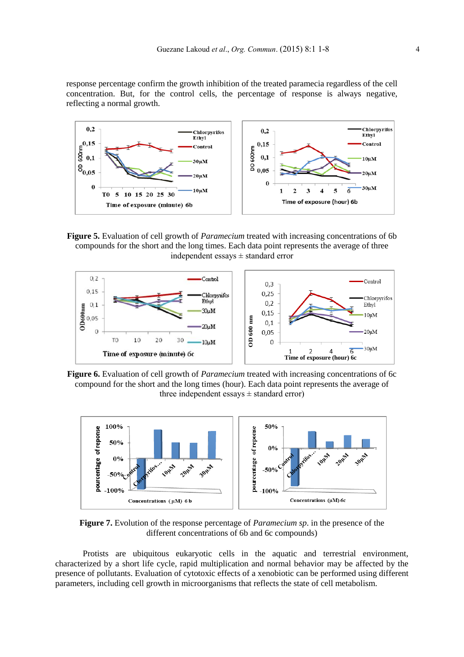response percentage confirm the growth inhibition of the treated paramecia regardless of the cell concentration. But, for the control cells, the percentage of response is always negative, reflecting a normal growth.



**Figure 5.** Evaluation of cell growth of *Paramecium* treated with increasing concentrations of 6b compounds for the short and the long times. Each data point represents the average of three independent essays  $\pm$  standard error



**Figure 6.** Evaluation of cell growth of *Paramecium* treated with increasing concentrations of 6c compound for the short and the long times (hour). Each data point represents the average of three independent essays  $\pm$  standard error)



**Figure 7.** Evolution of the response percentage of *Paramecium sp*. in the presence of the different concentrations of 6b and 6c compounds)

Protists are ubiquitous eukaryotic cells in the aquatic and terrestrial environment, characterized by a short life cycle, rapid multiplication and normal behavior may be affected by the presence of pollutants. Evaluation of cytotoxic effects of a xenobiotic can be performed using different parameters, including cell growth in microorganisms that reflects the state of cell metabolism.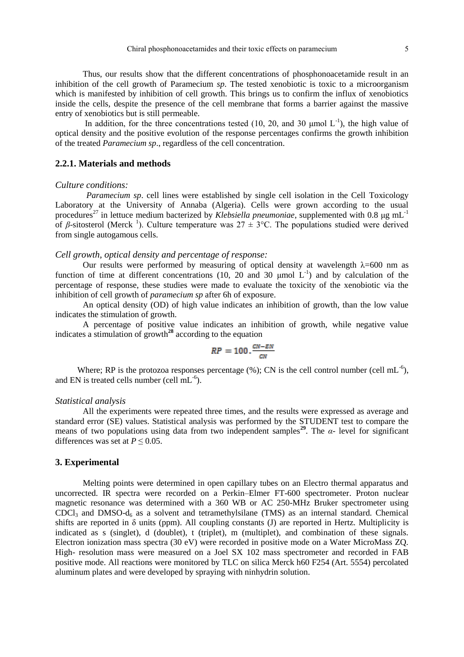Thus, our results show that the different concentrations of phosphonoacetamide result in an inhibition of the cell growth of Paramecium *sp*. The tested xenobiotic is toxic to a microorganism which is manifested by inhibition of cell growth. This brings us to confirm the influx of xenobiotics inside the cells, despite the presence of the cell membrane that forms a barrier against the massive entry of xenobiotics but is still permeable.

In addition, for the three concentrations tested (10, 20, and 30  $\mu$ mol L<sup>-1</sup>), the high value of optical density and the positive evolution of the response percentages confirms the growth inhibition of the treated *Paramecium sp*., regardless of the cell concentration.

### **2.2.1. Materials and methods**

#### *Culture conditions:*

*Paramecium sp*. cell lines were established by single cell isolation in the Cell Toxicology Laboratory at the University of Annaba (Algeria). Cells were grown according to the usual procedures<sup>27</sup> in lettuce medium bacterized by *Klebsiella pneumoniae*, supplemented with 0.8 μg mL<sup>-1</sup> of β-sitosterol (Merck<sup>1</sup>). Culture temperature was  $27 \pm 3$ °C. The populations studied were derived from single autogamous cells.

#### *Cell growth, optical density and percentage of response:*

Our results were performed by measuring of optical density at wavelength  $\lambda$ =600 nm as function of time at different concentrations (10, 20 and 30  $\mu$ mol L<sup>-1</sup>) and by calculation of the percentage of response, these studies were made to evaluate the toxicity of the xenobiotic via the inhibition of cell growth of *paramecium sp* after 6h of exposure.

An optical density (OD) of high value indicates an inhibition of growth, than the low value indicates the stimulation of growth.

A percentage of positive value indicates an inhibition of growth, while negative value indicates a stimulation of growth**<sup>28</sup>** according to the equation

$$
RP = 100 \cdot \frac{CN-EN}{CN}
$$

Where; RP is the protozoa responses percentage  $(\%)$ ; CN is the cell control number (cell mL<sup>-6</sup>), and EN is treated cells number (cell  $mL^{-6}$ ).

#### *Statistical analysis*

All the experiments were repeated three times, and the results were expressed as average and standard error (SE) values. Statistical analysis was performed by the STUDENT test to compare the means of two populations using data from two independent samples<sup>29</sup>. The  $\alpha$ - level for significant differences was set at  $P \le 0.05$ .

#### **3. Experimental**

Melting points were determined in open capillary tubes on an Electro thermal apparatus and uncorrected. IR spectra were recorded on a Perkin–Elmer FT-600 spectrometer. Proton nuclear magnetic resonance was determined with a 360 WB or AC 250-MHz Bruker spectrometer using  $CDCl<sub>3</sub>$  and  $DMSO-d<sub>6</sub>$  as a solvent and tetramethylsilane (TMS) as an internal standard. Chemical shifts are reported in  $\delta$  units (ppm). All coupling constants (J) are reported in Hertz. Multiplicity is indicated as s (singlet), d (doublet), t (triplet), m (multiplet), and combination of these signals. Electron ionization mass spectra (30 eV) were recorded in positive mode on a Water MicroMass ZQ. High- resolution mass were measured on a Joel SX 102 mass spectrometer and recorded in FAB positive mode. All reactions were monitored by TLC on silica Merck h60 F254 (Art. 5554) percolated aluminum plates and were developed by spraying with ninhydrin solution.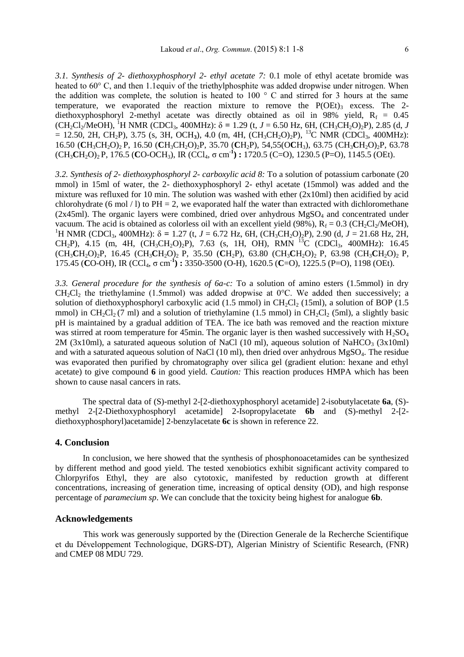*3.1. Synthesis of 2- diethoxyphosphoryl 2- ethyl acetate 7:* 0.1 mole of ethyl acetate bromide was heated to 60° C, and then 1.1equiv of the triethylphosphite was added dropwise under nitrogen. When the addition was complete, the solution is heated to 100 ° C and stirred for 3 hours at the same temperature, we evaporated the reaction mixture to remove the  $P(OEt)$ <sup>3</sup> excess. The 2diethoxyphosphoryl 2-methyl acetate was directly obtained as oil in 98% yield,  $R_f = 0.45$  $(CH_2Cl_2/MeOH)$ , <sup>1</sup>H NMR (CDCl<sub>3</sub>, 400MHz):  $\delta = 1.29$  (t,  $J = 6.50$  Hz, 6H, (CH<sub>3</sub>CH<sub>2</sub>O)<sub>2</sub>P), 2.85 (d, *J*  $= 12.50, 2H, CH<sub>2</sub>P$ ), 3.75 (s, 3H, OCH<sub>3</sub>), 4.0 (m, 4H, (CH<sub>3</sub>CH<sub>2</sub>O)<sub>2</sub>P), <sup>13</sup>C NMR (CDCl<sub>3</sub>, 400MHz): 16.50 (**C**H3CH2O)2 P, 16.50 (**C**H3CH2O)2P, 35.70 (**C**H2P), 54,55(O**C**H3), 63.75 (CH3**C**H2O)2P, 63.78 (CH3**C**H2O)2 P, 176.5 (**C**O-OCH3), IR (CCl4, σ cm-**<sup>1</sup> ) :** 1720.5 (C=O), 1230.5 (P=O), 1145.5 (OEt).

*3.2. Synthesis of 2- diethoxyphosphoryl 2- carboxylic acid 8:* To a solution of potassium carbonate (20 mmol) in 15ml of water, the 2- diethoxyphosphoryl 2- ethyl acetate (15mmol) was added and the mixture was refluxed for 10 min. The solution was washed with ether (2x10ml) then acidified by acid chlorohydrate (6 mol / l) to  $PH = 2$ , we evaporated half the water than extracted with dichloromethane (2x45ml). The organic layers were combined, dried over anhydrous  $MgSO<sub>4</sub>$  and concentrated under vacuum. The acid is obtained as colorless oil with an excellent yield (98%),  $R_f = 0.3$  (CH<sub>2</sub>Cl<sub>2</sub>/MeOH), <sup>1</sup>H NMR (CDCl<sub>3</sub>, 400MHz): δ = 1.27 (t, *J* = 6.72 Hz, 6H, (CH<sub>3</sub>CH<sub>2</sub>O)<sub>2</sub>P), 2.90 (d, *J* = 21.68 Hz, 2H, CH<sub>2</sub>P), 4.15 (m, 4H,  $(CH_3CH_2O_2P)$ , 7.63 (s, 1H, OH), RMN <sup>13</sup>C (CDCl<sub>3</sub>, 400MHz): 16.45 (CH3**C**H2O)2P, 16.45 (CH3**C**H2O)2 P, 35.50 (**C**H2P), 63.80 (CH3**C**H2O)2 P, 63.98 (CH3**C**H2O)2 P, 175.45 (**C**O-OH), IR (CCl4, σ cm-**<sup>1</sup> ) :** 3350-3500 (O-H), 1620.5 (**C**=O), 1225.5 (P=O), 1198 (OEt).

*3.3. General procedure for the synthesis of 6a-c:* To a solution of amino esters (1.5mmol) in dry CH<sub>2</sub>Cl<sub>2</sub> the triethylamine (1.5mmol) was added dropwise at  $0^{\circ}$ C. We added then successively; a solution of diethoxyphosphoryl carboxylic acid (1.5 mmol) in  $CH_2Cl_2$  (15ml), a solution of BOP (1.5 mmol) in CH<sub>2</sub>Cl<sub>2</sub> (7 ml) and a solution of triethylamine (1.5 mmol) in CH<sub>2</sub>Cl<sub>2</sub> (5ml), a slightly basic pH is maintained by a gradual addition of TEA. The ice bath was removed and the reaction mixture was stirred at room temperature for 45min. The organic layer is then washed successively with  $H_2SO_4$ 2M (3x10ml), a saturated aqueous solution of NaCl (10 ml), aqueous solution of NaHCO<sub>3</sub> (3x10ml) and with a saturated aqueous solution of NaCl (10 ml), then dried over anhydrous MgSO4. The residue was evaporated then purified by chromatography over silica gel (gradient elution: hexane and ethyl acetate) to give compound **6** in good yield. *Caution:* This reaction produces HMPA which has been shown to cause nasal cancers in rats.

The spectral data of (S)-methyl 2-[2-diethoxyphosphoryl acetamide] 2-isobutylacetate **6a**, (S) methyl 2-[2-Diethoxyphosphoryl acetamide] 2-Isopropylacetate **6b** and (S)-methyl 2-[2 diethoxyphosphoryl)acetamide] 2-benzylacetate **6c** is shown in reference 22.

#### **4. Conclusion**

In conclusion, we here showed that the synthesis of phosphonoacetamides can be synthesized by different method and good yield. The tested xenobiotics exhibit significant activity compared to Chlorpyrifos Ethyl, they are also cytotoxic, manifested by reduction growth at different concentrations, increasing of generation time, increasing of optical density (OD), and high response percentage of *paramecium sp*. We can conclude that the toxicity being highest for analogue **6b**.

#### **Acknowledgements**

This work was generously supported by the (Direction Generale de la Recherche Scientifique et du Développement Technologique, DGRS-DT), Algerian Ministry of Scientific Research, (FNR) and CMEP 08 MDU 729.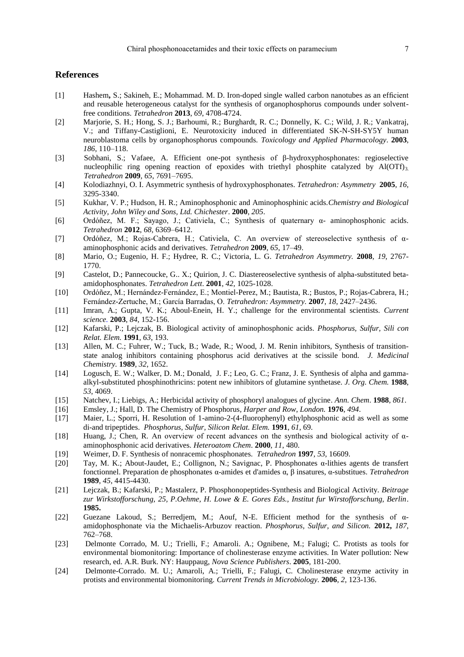# **References**

- [1] Hashem**,** S.; Sakineh, E.; Mohammad. M. D. Iron-doped single walled carbon nanotubes as an efficient and reusable heterogeneous catalyst for the synthesis of organophosphorus compounds under solventfree conditions. *Tetrahedron* **2013**, *69*, 4708-4724.
- [2] Marjorie, S. H.; Hong, S. J.; Barhoumi, R.; Burghardt, R. C.; Donnelly, K. C.; Wild, J. R.; Vankatraj, V.; and Tiffany-Castiglioni, E. Neurotoxicity induced in differentiated SK-N-SH-SY5Y human neuroblastoma cells by organophosphorus compounds. *Toxicology and Applied Pharmacology*. **2003**, *186*, 110–118.
- [3] Sobhani, S.; Vafaee, A. Efficient one-pot synthesis of β-hydroxyphosphonates: regioselective nucleophilic ring opening reaction of epoxides with triethyl phosphite catalyzed by  $AI(OTT)$ 3. *Tetrahedron* **2009**, *65*, 7691–7695.
- [4] Kolodiazhnyi, O. I. Asymmetric synthesis of hydroxyphosphonates. *Tetrahedron: Asymmetry* **2005**, *16,*  3295-3340.
- [5] Kukhar, V. P.; Hudson, H. R.; Aminophosphonic and Aminophosphinic acids.*Chemistry and Biological Activity, John Wiley and Sons, Ltd. Chichester*. **2000**, *205*.
- [6] Ordóñez, M. F.; Sayago, J.; Cativiela, C.; Synthesis of quaternary α- aminophosphonic acids. *Tetrahedron* **2012**, *68*, 6369–6412.
- [7] Ordóñez, M.; Rojas-Cabrera, H.; Cativiela, C. An overview of stereoselective synthesis of αaminophosphonic acids and derivatives. *Tetrahedron* **2009**, *65*, 17–49.
- [8] Mario, O.; Eugenio, H. F.; Hydree, R. C.; Victoria, L. G. *Tetrahedron Asymmetry.* **2008**, *19*, 2767- 1770.
- [9] Castelot, D.; Pannecoucke, G.. X.; Quirion, J. C. Diastereoselective synthesis of alpha-substituted betaamidophosphonates. *Tetrahedron Lett*. **2001**, *42*, 1025-1028.
- [10] Ordóñez, M.; Hernández-Fernández, E.; Montiel-Perez, M.; Bautista, R.; Bustos, P.; Rojas-Cabrera, H.; Fernández-Zertuche, M.; García Barradas, O. *Tetrahedron: Asymmetry.* **2007**, *18*, 2427–2436.
- [11] Imran, A.; Gupta, V. K.; Aboul-Enein, H. Y.; challenge for the environmental scientists. *Current science.* **2003**, *84*, 152-156.
- [12] Kafarski, P.; Lejczak, B. Biological activity of aminophosphonic acids. *Phosphorus, Sulfur, Sili con Relat. Elem.* **1991**, *63*, 193.
- [13] Allen, M. C.; Fuhrer, W.; Tuck, B.; Wade, R.; Wood, J. M. Renin inhibitors, Synthesis of transitionstate analog inhibitors containing phosphorus acid derivatives at the scissile bond. *J. Medicinal Chemistry.* **1989**, *32*, 1652.
- [14] Logusch, E. W.; Walker, D. M.; Donald, J. F.; Leo, G. C.; Franz, J. E. Synthesis of alpha and gammaalkyl-substituted phosphinothricins: potent new inhibitors of glutamine synthetase. *J. Org. Chem.* **1988**, *53*, 4069.
- [15] Natchev, I.; Liebigs, A.; Herbicidal activity of phosphoryl analogues of glycine. *Ann. Chem*. **1988**, *861*.
- [16] Emsley, J.; Hall, D. The Chemistry of Phosphorus*, Harper and Row, London.* **1976**, *494*.
- [17] Maier, L.; Sporri, H. Resolution of 1-amino-2-(4-fluorophenyl) ethylphosphonic acid as well as some di-and tripeptides. *Phosphorus, Sulfur, Silicon Relat. Elem.* **1991**, *61*, 69.
- [18] Huang, J.; Chen, R. An overview of recent advances on the synthesis and biological activity of αaminophosphonic acid derivatives. *Heteroatom Chem*. **2000**, *11*, 480.
- [19] Weimer, D. F. Synthesis of nonracemic phosphonates. *Tetrahedron* **1997**, *53*, 16609.
- [20] Tay, M. K.; About-Jaudet, E.; Collignon, N.; Savignac, P. Phosphonates α-lithies agents de transfert fonctionnel. Preparation de phosphonates α-amides et d'amides α, β insatures, α-substitues. *Tetrahedron* **1989**, *45*, 4415-4430.
- [21] Lejczak, B.; Kafarski, P.; Mastalerz, P. Phosphonopeptides-Synthesis and Biological Activity. *Beitrage zur Wirkstofforschung, 25, P.Oehme, H. Lowe & E. Gores Eds., Institut fur Wirstofforschung, Berlin*. **1985.**
- [22] Guezane Lakoud, S.; Berredjem, M.; Aouf, N-E. Efficient method for the synthesis of αamidophosphonate via the Michaelis-Arbuzov reaction. *Phosphorus, Sulfur, and Silicon.* **2012,** *187*, 762–768.
- [23] Delmonte Corrado, M. U.; Trielli, F.; Amaroli. A.; Ognibene, M.; Falugi; C. Protists as tools for environmental biomonitoring: Importance of cholinesterase enzyme activities. In Water pollution: New research, ed. A.R. Burk. NY: Hauppaug, *Nova Science Publishers*. **2005**, 181-200.
- [24] Delmonte-Corrado. M. U.; Amaroli, A.; Trielli, F.; Falugi, C. Cholinesterase enzyme activity in protists and environmental biomonitoring*. Current Trends in Microbiology.* **2006**, *2*, 123-136.